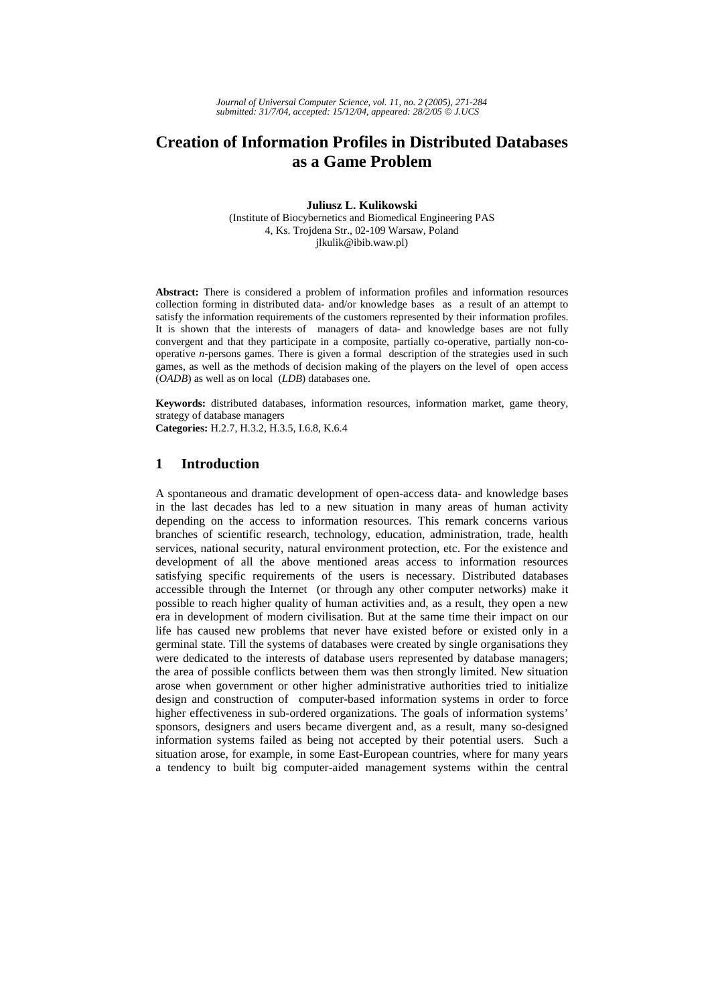# **Creation of Information Profiles in Distributed Databases as a Game Problem**

**Juliusz L. Kulikowski** 

(Institute of Biocybernetics and Biomedical Engineering PAS 4, Ks. Trojdena Str., 02-109 Warsaw, Poland jlkulik@ibib.waw.pl)

**Abstract:** There is considered a problem of information profiles and information resources collection forming in distributed data- and/or knowledge bases as a result of an attempt to satisfy the information requirements of the customers represented by their information profiles. It is shown that the interests of managers of data- and knowledge bases are not fully convergent and that they participate in a composite, partially co-operative, partially non-cooperative *n-*persons games. There is given a formal description of the strategies used in such games, as well as the methods of decision making of the players on the level of open access (*OADB*) as well as on local (*LDB*) databases one.

**Keywords:** distributed databases, information resources, information market, game theory, strategy of database managers

**Categories:** H.2.7, H.3.2, H.3.5, I.6.8, K.6.4

# **1 Introduction**

A spontaneous and dramatic development of open-access data- and knowledge bases in the last decades has led to a new situation in many areas of human activity depending on the access to information resources. This remark concerns various branches of scientific research, technology, education, administration, trade, health services, national security, natural environment protection, etc. For the existence and development of all the above mentioned areas access to information resources satisfying specific requirements of the users is necessary. Distributed databases accessible through the Internet (or through any other computer networks) make it possible to reach higher quality of human activities and, as a result, they open a new era in development of modern civilisation. But at the same time their impact on our life has caused new problems that never have existed before or existed only in a germinal state. Till the systems of databases were created by single organisations they were dedicated to the interests of database users represented by database managers; the area of possible conflicts between them was then strongly limited. New situation arose when government or other higher administrative authorities tried to initialize design and construction of computer-based information systems in order to force higher effectiveness in sub-ordered organizations. The goals of information systems' sponsors, designers and users became divergent and, as a result, many so-designed information systems failed as being not accepted by their potential users. Such a situation arose, for example, in some East-European countries, where for many years a tendency to built big computer-aided management systems within the central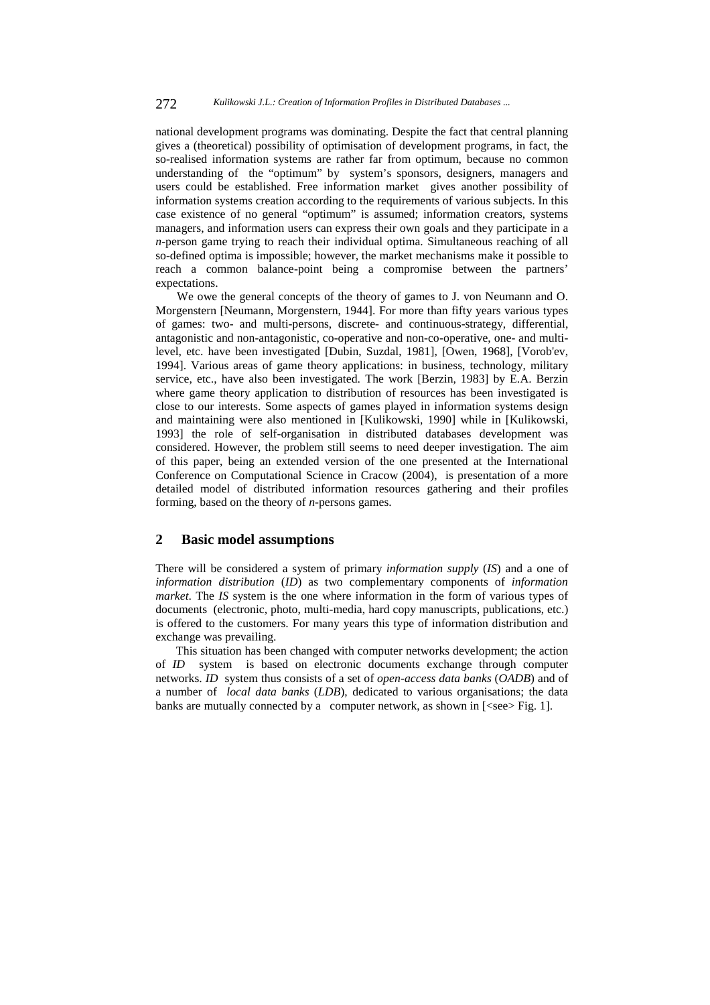national development programs was dominating. Despite the fact that central planning gives a (theoretical) possibility of optimisation of development programs, in fact, the so-realised information systems are rather far from optimum, because no common understanding of the "optimum" by system's sponsors, designers, managers and users could be established. Free information market gives another possibility of information systems creation according to the requirements of various subjects. In this case existence of no general "optimum" is assumed; information creators, systems managers, and information users can express their own goals and they participate in a *n*-person game trying to reach their individual optima. Simultaneous reaching of all so-defined optima is impossible; however, the market mechanisms make it possible to reach a common balance-point being a compromise between the partners' expectations.

We owe the general concepts of the theory of games to J. von Neumann and O. Morgenstern [Neumann, Morgenstern, 1944]. For more than fifty years various types of games: two- and multi-persons, discrete- and continuous-strategy, differential, antagonistic and non-antagonistic, co-operative and non-co-operative, one- and multilevel, etc. have been investigated [Dubin, Suzdal, 1981], [Owen, 1968], [Vorob'ev, 1994]. Various areas of game theory applications: in business, technology, military service, etc., have also been investigated. The work [Berzin, 1983] by E.A. Berzin where game theory application to distribution of resources has been investigated is close to our interests. Some aspects of games played in information systems design and maintaining were also mentioned in [Kulikowski, 1990] while in [Kulikowski, 1993] the role of self-organisation in distributed databases development was considered. However, the problem still seems to need deeper investigation. The aim of this paper, being an extended version of the one presented at the International Conference on Computational Science in Cracow (2004), is presentation of a more detailed model of distributed information resources gathering and their profiles forming, based on the theory of *n*-persons games.

## **2 Basic model assumptions**

There will be considered a system of primary *information supply* (*IS*) and a one of *information distribution* (*ID*) as two complementary components of *information market*. The *IS* system is the one where information in the form of various types of documents (electronic, photo, multi-media, hard copy manuscripts, publications, etc.) is offered to the customers. For many years this type of information distribution and exchange was prevailing.

This situation has been changed with computer networks development; the action of *ID* system is based on electronic documents exchange through computer networks. *ID* system thus consists of a set of *open-access data banks* (*OADB*) and of a number of *local data banks* (*LDB*), dedicated to various organisations; the data banks are mutually connected by a computer network, as shown in  $[$  Fig. 1].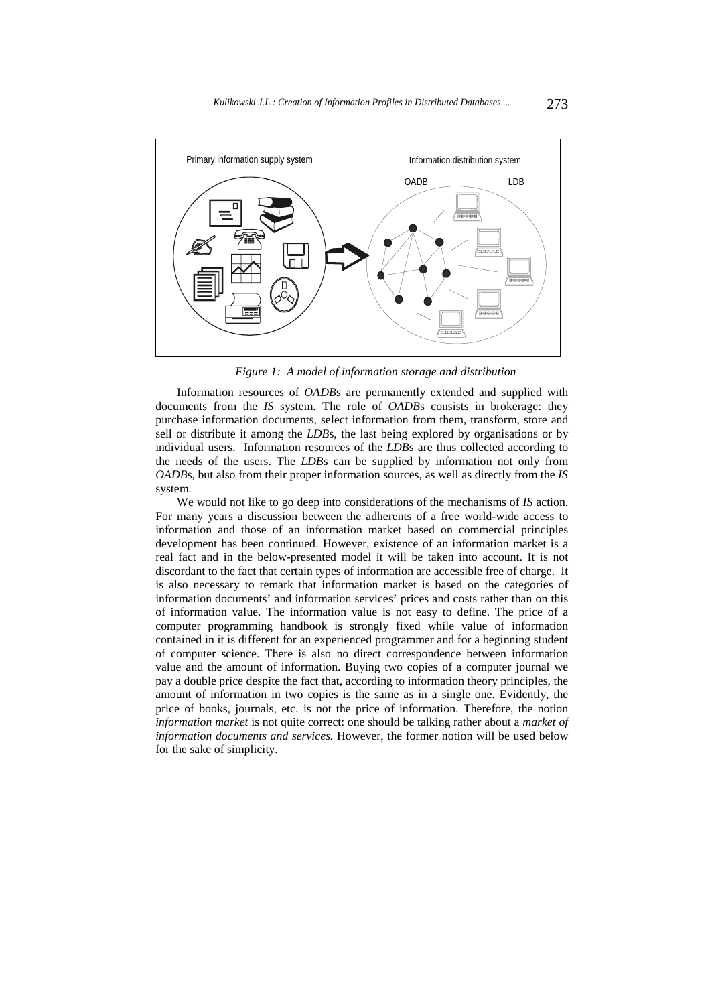

*Figure 1: A model of information storage and distribution* 

Information resources of *OADB*s are permanently extended and supplied with documents from the *IS* system. The role of *OADB*s consists in brokerage: they purchase information documents, select information from them, transform, store and sell or distribute it among the *LDB*s, the last being explored by organisations or by individual users. Information resources of the *LDB*s are thus collected according to the needs of the users. The *LDB*s can be supplied by information not only from *OADB*s, but also from their proper information sources, as well as directly from the *IS*  system.

We would not like to go deep into considerations of the mechanisms of *IS* action. For many years a discussion between the adherents of a free world-wide access to information and those of an information market based on commercial principles development has been continued. However, existence of an information market is a real fact and in the below-presented model it will be taken into account. It is not discordant to the fact that certain types of information are accessible free of charge. It is also necessary to remark that information market is based on the categories of information documents' and information services' prices and costs rather than on this of information value. The information value is not easy to define. The price of a computer programming handbook is strongly fixed while value of information contained in it is different for an experienced programmer and for a beginning student of computer science. There is also no direct correspondence between information value and the amount of information. Buying two copies of a computer journal we pay a double price despite the fact that, according to information theory principles, the amount of information in two copies is the same as in a single one. Evidently, the price of books, journals, etc. is not the price of information. Therefore, the notion *information market* is not quite correct: one should be talking rather about a *market of information documents and services.* However, the former notion will be used below for the sake of simplicity.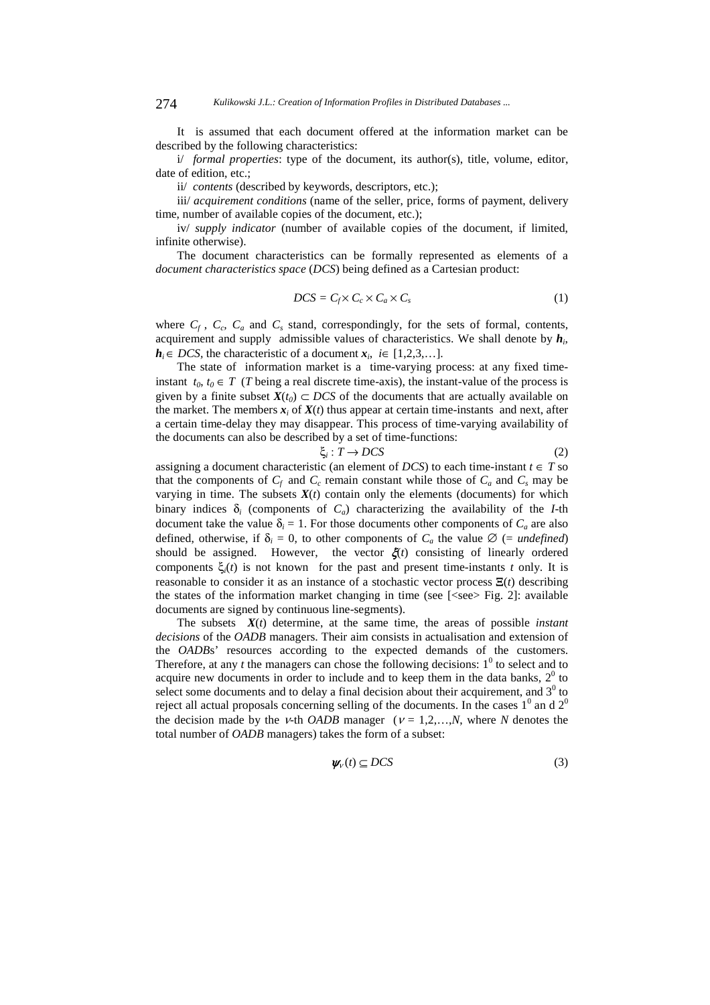It is assumed that each document offered at the information market can be described by the following characteristics:

i/ *formal properties*: type of the document, its author(s), title, volume, editor, date of edition, etc.;

ii/ *contents* (described by keywords, descriptors, etc.);

iii/ *acquirement conditions* (name of the seller, price, forms of payment, delivery time, number of available copies of the document, etc.);

iv/ *supply indicator* (number of available copies of the document, if limited, infinite otherwise).

The document characteristics can be formally represented as elements of a *document characteristics space* (*DCS*) being defined as a Cartesian product:

$$
DCS = C_f \times C_c \times C_a \times C_s \tag{1}
$$

where  $C_f$ ,  $C_c$ ,  $C_a$  and  $C_s$  stand, correspondingly, for the sets of formal, contents, acquirement and supply admissible values of characteristics. We shall denote by *hi*, *h*<sub>*i*</sub>∈ *DCS*, the characteristic of a document  $x_i$ , *i*∈ [1,2,3,...].

The state of information market is a time-varying process: at any fixed timeinstant  $t_0, t_0 \in T$  (*T* being a real discrete time-axis), the instant-value of the process is given by a finite subset  $X(t_0) \subset DCS$  of the documents that are actually available on the market. The members  $x_i$  of  $X(t)$  thus appear at certain time-instants and next, after a certain time-delay they may disappear. This process of time-varying availability of the documents can also be described by a set of time-functions:

$$
\xi_i: T \to DCS \tag{2}
$$

assigning a document characteristic (an element of *DCS*) to each time-instant  $t \in T$  so that the components of  $C_f$  and  $C_c$  remain constant while those of  $C_a$  and  $C_s$  may be varying in time. The subsets  $X(t)$  contain only the elements (documents) for which binary indices  $\delta_i$  (components of  $C_a$ ) characterizing the availability of the *I*-th document take the value  $\delta_i = 1$ . For those documents other components of  $C_a$  are also defined, otherwise, if  $\delta_i = 0$ , to other components of  $C_a$  the value  $\emptyset$  (= *undefined*) should be assigned. However, the vector  $\xi(t)$  consisting of linearly ordered components  $\xi_i(t)$  is not known for the past and present time-instants *t* only. It is reasonable to consider it as an instance of a stochastic vector process  $\Xi(t)$  describing the states of the information market changing in time (see  $\leq$  =  $\leq$   $\leq$   $\leq$   $\leq$   $\leq$   $\leq$   $\leq$   $\leq$   $\leq$   $\leq$   $\leq$   $\leq$   $\leq$   $\leq$   $\leq$   $\leq$   $\leq$   $\leq$   $\leq$   $\leq$   $\leq$   $\leq$   $\leq$   $\leq$   $\leq$   $\leq$ documents are signed by continuous line-segments).

The subsets  $X(t)$  determine, at the same time, the areas of possible *instant decisions* of the *OADB* managers. Their aim consists in actualisation and extension of the *OADB*s' resources according to the expected demands of the customers. Therefore, at any  $t$  the managers can chose the following decisions:  $1^0$  to select and to acquire new documents in order to include and to keep them in the data banks,  $2^0$  to select some documents and to delay a final decision about their acquirement, and  $3<sup>0</sup>$  to reject all actual proposals concerning selling of the documents. In the cases  $1^0$  an d  $2^0$ the decision made by the *ν*-th *OADB* manager ( $v = 1, 2, ..., N$ , where *N* denotes the total number of *OADB* managers) takes the form of a subset:

$$
\psi_{\nu}(t) \subseteq DCS \tag{3}
$$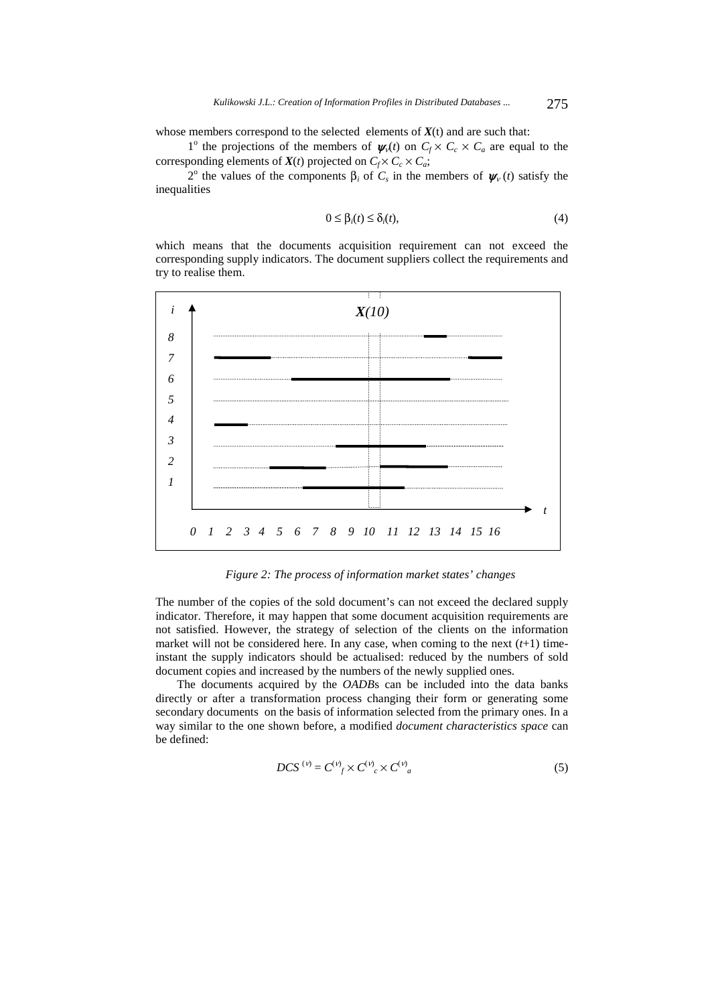whose members correspond to the selected elements of  $X(t)$  and are such that:

1<sup>o</sup> the projections of the members of  $\psi_1(t)$  on  $C_f \times C_c \times C_a$  are equal to the corresponding elements of  $X(t)$  projected on  $C_f \times C_c \times C_a$ ;

2<sup>o</sup> the values of the components  $\beta_i$  of  $C_s$  in the members of  $\psi_v(t)$  satisfy the inequalities

$$
0 \leq \beta_i(t) \leq \delta_i(t),\tag{4}
$$

which means that the documents acquisition requirement can not exceed the corresponding supply indicators. The document suppliers collect the requirements and try to realise them.



*Figure 2: The process of information market states' changes* 

The number of the copies of the sold document's can not exceed the declared supply indicator. Therefore, it may happen that some document acquisition requirements are not satisfied. However, the strategy of selection of the clients on the information market will not be considered here. In any case, when coming to the next  $(t+1)$  timeinstant the supply indicators should be actualised: reduced by the numbers of sold document copies and increased by the numbers of the newly supplied ones.

The documents acquired by the *OADB*s can be included into the data banks directly or after a transformation process changing their form or generating some secondary documents on the basis of information selected from the primary ones. In a way similar to the one shown before, a modified *document characteristics space* can be defined:

$$
DCS^{(\nu)} = C^{(\nu)}{}_{f} \times C^{(\nu)}{}_{c} \times C^{(\nu)}{}_{a} \tag{5}
$$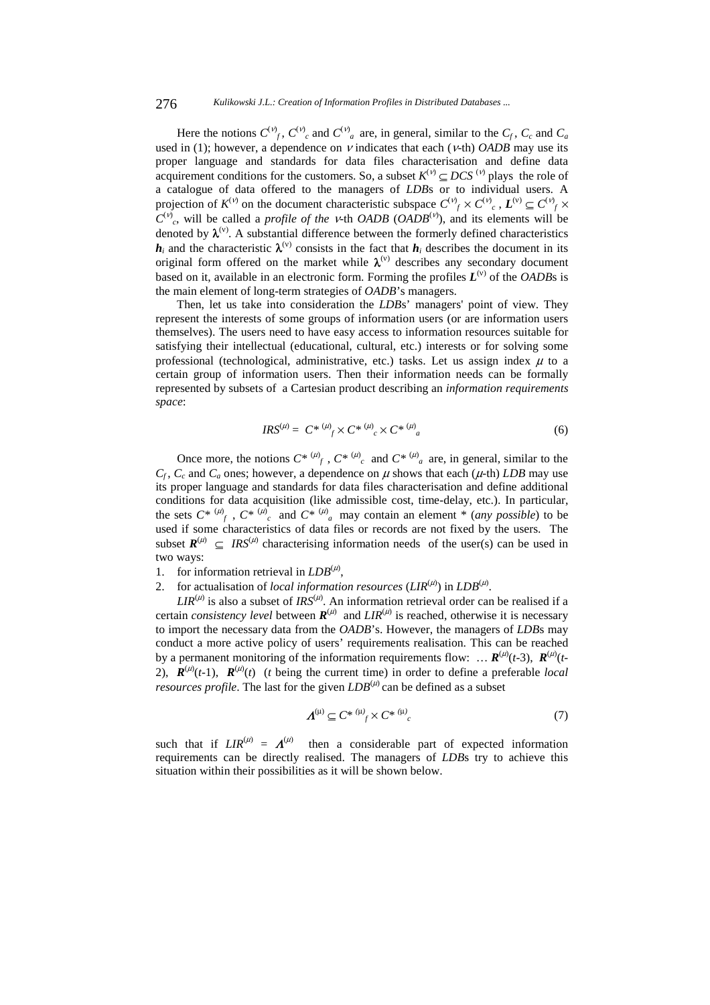#### 276 *Kulikowski J.L.: Creation of Information Profiles in Distributed Databases ...*

Here the notions  $C^{(\nu)}_f$ ,  $C^{(\nu)}_c$  and  $C^{(\nu)}_a$  are, in general, similar to the  $C_f$ ,  $C_c$  and  $C_a$ used in (1); however, a dependence on  $V$  indicates that each ( $V$ -th) *OADB* may use its proper language and standards for data files characterisation and define data acquirement conditions for the customers. So, a subset  $K^{(v)} \subseteq DCS^{(v)}$  plays the role of a catalogue of data offered to the managers of *LDB*s or to individual users. A projection of  $K^{(v)}$  on the document characteristic subspace  $C^{(v)}_j \times C^{(v)}_c$ ,  $L^{(v)} \subseteq C^{(v)}_j \times C^{(v)}_c$  $C^{(v)}_c$ , will be called a *profile of the v*-th *OADB* (*OADB*<sup>(v)</sup>), and its elements will be denoted by  $\lambda^{(v)}$ . A substantial difference between the formerly defined characteristics  $h_i$  and the characteristic  $\lambda^{(v)}$  consists in the fact that  $h_i$  describes the document in its original form offered on the market while  $\lambda^{(v)}$  describes any secondary document based on it, available in an electronic form. Forming the profiles  $L^{(v)}$  of the *OADB*s is the main element of long-term strategies of *OADB*'s managers.

Then, let us take into consideration the *LDB*s' managers' point of view. They represent the interests of some groups of information users (or are information users themselves). The users need to have easy access to information resources suitable for satisfying their intellectual (educational, cultural, etc.) interests or for solving some professional (technological, administrative, etc.) tasks. Let us assign index  $\mu$  to a certain group of information users. Then their information needs can be formally represented by subsets of a Cartesian product describing an *information requirements space*:

$$
IRS^{(\mu)} = C^* \xrightarrow{(\mu)} SC^* \xrightarrow{(\mu)} SC^* \xrightarrow{(\mu)} (6)
$$

Once more, the notions  $C^* \stackrel{(\mu)}{\rightarrow} C^* \stackrel{(\mu)}{\rightarrow}$  and  $C^* \stackrel{(\mu)}{\rightarrow}$  are, in general, similar to the  $C_f$ ,  $C_c$  and  $C_a$  ones; however, a dependence on  $\mu$  shows that each ( $\mu$ -th) *LDB* may use its proper language and standards for data files characterisation and define additional conditions for data acquisition (like admissible cost, time-delay, etc.). In particular, the sets  $C^* \stackrel{(\mu)}{\rightarrow} C^* \stackrel{(\mu)}{\rightarrow}$  and  $C^* \stackrel{(\mu)}{\rightarrow} a$  may contain an element \* (*any possible*) to be used if some characteristics of data files or records are not fixed by the users.The subset  $R^{(\mu)} \subseteq \textit{IRS}^{(\mu)}$  characterising information needs of the user(s) can be used in two ways:

- 1. for information retrieval in  $LDB^{(\mu)}$ ,
- 2. for actualisation of *local information resources*  $(LIR<sup>(\mu)</sup>)$  in  $LDB<sup>(\mu)</sup>$ .

 $LR^{(\mu)}$  is also a subset of  $IRS^{(\mu)}$ . An information retrieval order can be realised if a certain *consistency level* between  $R^{(\mu)}$  and  $LIR^{(\mu)}$  is reached, otherwise it is necessary to import the necessary data from the *OADB*'s. However, the managers of *LDB*s may conduct a more active policy of users' requirements realisation. This can be reached by a permanent monitoring of the information requirements flow: ...  $R^{(\mu)}(t-3)$ ,  $R^{(\mu)}(t-1)$ 2),  $\mathbf{R}^{(\mu)}(t-1)$ ,  $\mathbf{R}^{(\mu)}(t)$  (*t* being the current time) in order to define a preferable *local resources profile*. The last for the given  $LDB^{(\mu)}$  can be defined as a subset

$$
\boldsymbol{\Lambda}^{(\mu)} \subseteq C^* \stackrel{(\mu)}{\longrightarrow} C^* \stackrel{(\mu)}{\longrightarrow} \tag{7}
$$

such that if  $LIR^{(\mu)} = \Lambda^{(\mu)}$ then a considerable part of expected information requirements can be directly realised. The managers of *LDB*s try to achieve this situation within their possibilities as it will be shown below.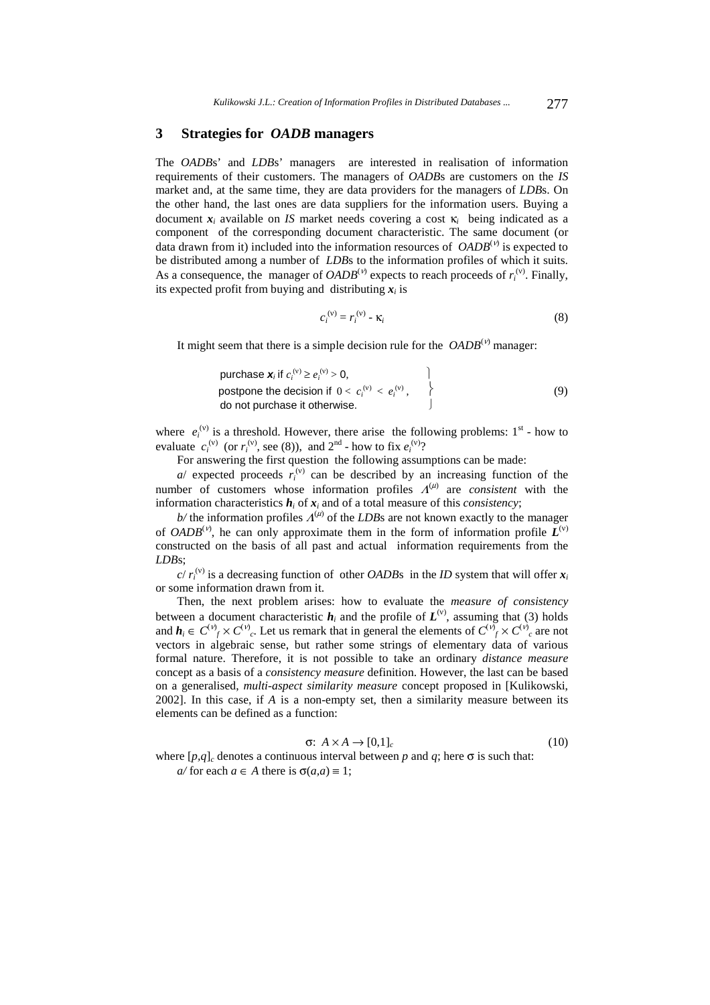## **3 Strategies for** *OADB* **managers**

The *OADB*s' and *LDB*s' managers are interested in realisation of information requirements of their customers. The managers of *OADB*s are customers on the *IS*  market and, at the same time, they are data providers for the managers of *LDB*s. On the other hand, the last ones are data suppliers for the information users. Buying a document  $x_i$  available on *IS* market needs covering a cost  $\kappa_i$  being indicated as a component of the corresponding document characteristic. The same document (or data drawn from it) included into the information resources of *OADB*<sup>(v)</sup> is expected to be distributed among a number of *LDB*s to the information profiles of which it suits. As a consequence, the manager of  $OADB<sup>(v)</sup>$  expects to reach proceeds of  $r_i^{(v)}$ . Finally, its expected profit from buying and distributing *xi* is

$$
c_i^{(v)} = r_i^{(v)} - \kappa_i
$$
 (8)

It might seem that there is a simple decision rule for the  $OADB<sup>(v)</sup>$  manager:

\n purchase 
$$
\mathbf{x}_i
$$
 if  $c_i^{(v)} \geq e_i^{(v)} > 0$ ,\n

\n\n postpone the decision if  $0 < c_i^{(v)} < e_i^{(v)}$ ,\n

\n\n do not purchase it otherwise.\n

where  $e_i^{(v)}$  is a threshold. However, there arise the following problems:  $1^{st}$  - how to evaluate  $c_i^{(v)}$  (or  $r_i^{(v)}$ , see (8)), and  $2^{nd}$  - how to fix  $e_i^{(v)}$ ?

For answering the first question the following assumptions can be made:

 $a$  expected proceeds  $r_i^{(v)}$  can be described by an increasing function of the number of customers whose information profiles  $\Lambda^{(\mu)}$  are *consistent* with the information characteristics  $h_i$  of  $x_i$  and of a total measure of this *consistency*;

 $b$ / the information profiles  $\Lambda^{(\mu)}$  of the *LDB*s are not known exactly to the manager of *OADB*<sup>(ν)</sup>, he can only approximate them in the form of information profile  $L^{(v)}$ constructed on the basis of all past and actual information requirements from the *LDB*s;

 $c/r_i^{(v)}$  is a decreasing function of other *OADB*s in the *ID* system that will offer  $x_i$ or some information drawn from it.

Then, the next problem arises: how to evaluate the *measure of consistency* between a document characteristic  $h_i$  and the profile of  $L^{(v)}$ , assuming that (3) holds and  $h_i \in C^{(v)} f \times C^{(v)} g$ . Let us remark that in general the elements of  $C^{(v)} f \times C^{(v)} g$  are not vectors in algebraic sense, but rather some strings of elementary data of various formal nature. Therefore, it is not possible to take an ordinary *distance measure* concept as a basis of a *consistency measure* definition. However, the last can be based on a generalised, *multi-aspect similarity measure* concept proposed in [Kulikowski, 2002]. In this case, if *A* is a non-empty set, then a similarity measure between its elements can be defined as a function:

$$
\sigma: A \times A \to [0,1]_c \tag{10}
$$

where  $[p,q]_c$  denotes a continuous interval between p and q; here  $\sigma$  is such that:  $a$  for each  $a \in A$  there is  $\sigma(a,a) \equiv 1$ ;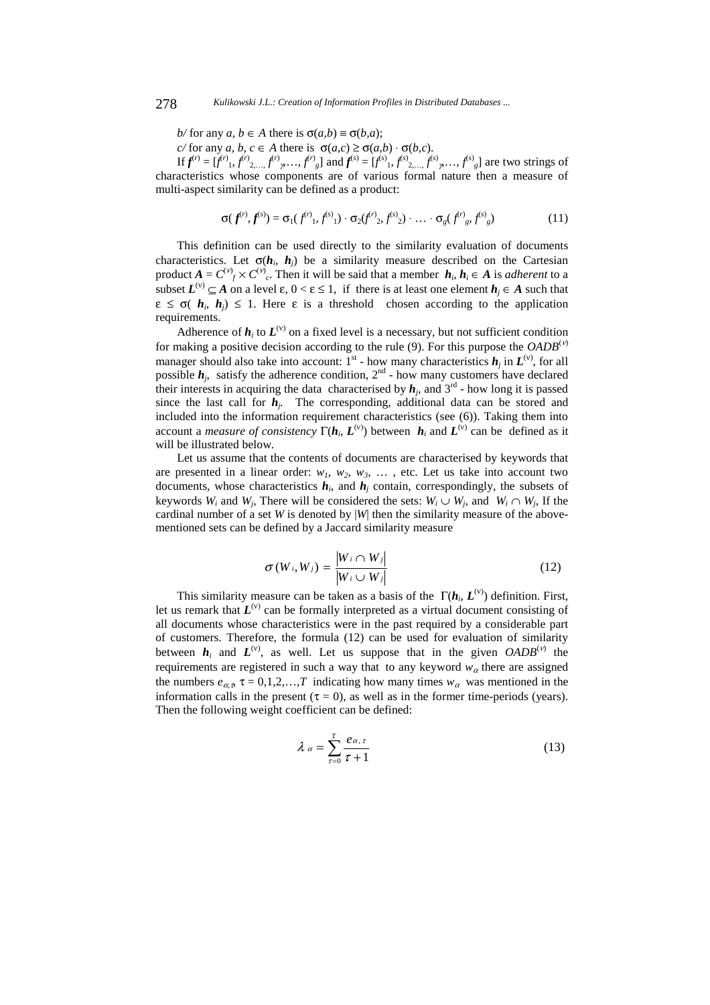*b/* for any *a*,  $b \in A$  there is  $\sigma(a,b) \equiv \sigma(b,a)$ ;

*c/* for any *a*, *b*, *c* ∈ *A* there is  $σ(a, c) ≥ σ(a, b) · σ(b, c)$ .

If  $f^{(r)} = [f^{(r)}, f^{(r)}, \ldots, f^{(r)}, \ldots, f^{(r)}]$  and  $f^{(s)} = [f^{(s)}, f^{(s)}, \ldots, f^{(s)}, \ldots, f^{(s)}]$  are two strings of characteristics whose components are of various formal nature then a measure of multi-aspect similarity can be defined as a product:

$$
\sigma(f^{(r)}, f^{(s)}) = \sigma_1(f^{(r)}, f^{(s)}) \cdot \sigma_2(f^{(r)}, f^{(s)}) \cdot \ldots \cdot \sigma_g(f^{(r)}, f^{(s)}, g)
$$
(11)

This definition can be used directly to the similarity evaluation of documents characteristics. Let  $\sigma(h_i, h_j)$  be a similarity measure described on the Cartesian product  $A = C^{(v)} f \times C^{(v)} g$ . Then it will be said that a member  $h_i, h_i \in A$  is *adherent* to a subset  $L^{(v)} \subseteq A$  on a level  $\varepsilon$ ,  $0 < \varepsilon \le 1$ , if there is at least one element  $h_j \in A$  such that  $\epsilon \leq \sigma(\boldsymbol{h}_i, \boldsymbol{h}_i) \leq 1$ . Here  $\epsilon$  is a threshold chosen according to the application requirements.

Adherence of  $h_i$  to  $L^{(v)}$  on a fixed level is a necessary, but not sufficient condition for making a positive decision according to the rule (9). For this purpose the  $OADB^{(v)}$ manager should also take into account:  $1^{st}$  - how many characteristics  $h_j$  in  $L^{(v)}$ , for all possible  $h_j$ , satisfy the adherence condition,  $2<sup>nd</sup>$  - how many customers have declared their interests in acquiring the data characterised by  $h_j$ , and  $3^{rd}$  - how long it is passed since the last call for  $h_i$ . The corresponding, additional data can be stored and included into the information requirement characteristics (see (6)). Taking them into account a *measure of consistency*  $\Gamma(h_i, L^{(v)})$  between  $h_i$  and  $L^{(v)}$  can be defined as it will be illustrated below.

Let us assume that the contents of documents are characterised by keywords that are presented in a linear order:  $w_1$ ,  $w_2$ ,  $w_3$ , ..., etc. Let us take into account two documents, whose characteristics  $h_i$ , and  $h_j$  contain, correspondingly, the subsets of keywords *W<sub>i</sub>* and *W<sub>i</sub>*. There will be considered the sets:  $W_i \cup W_j$ , and  $W_i \cap W_j$ , If the cardinal number of a set *W* is denoted by  $|W|$  then the similarity measure of the abovementioned sets can be defined by a Jaccard similarity measure

$$
\sigma(W_i, W_j) = \frac{|W_i \cap W_j|}{|W_i \cup W_j|} \tag{12}
$$

This similarity measure can be taken as a basis of the  $\Gamma(h_i, L^{(v)})$  definition. First, let us remark that  $L^{(v)}$  can be formally interpreted as a virtual document consisting of all documents whose characteristics were in the past required by a considerable part of customers. Therefore, the formula (12) can be used for evaluation of similarity between  $h_i$  and  $L^{(v)}$ , as well. Let us suppose that in the given  $OADB^{(v)}$  the requirements are registered in such a way that to any keyword  $w_\alpha$  there are assigned the numbers  $e_{\alpha}$ ,  $\tau = 0,1,2,...,T$  indicating how many times  $w_{\alpha}$  was mentioned in the information calls in the present ( $\tau = 0$ ), as well as in the former time-periods (years). Then the following weight coefficient can be defined:

$$
\lambda \alpha = \sum_{\tau=0}^{T} \frac{e_{\alpha, \tau}}{\tau + 1}
$$
\n(13)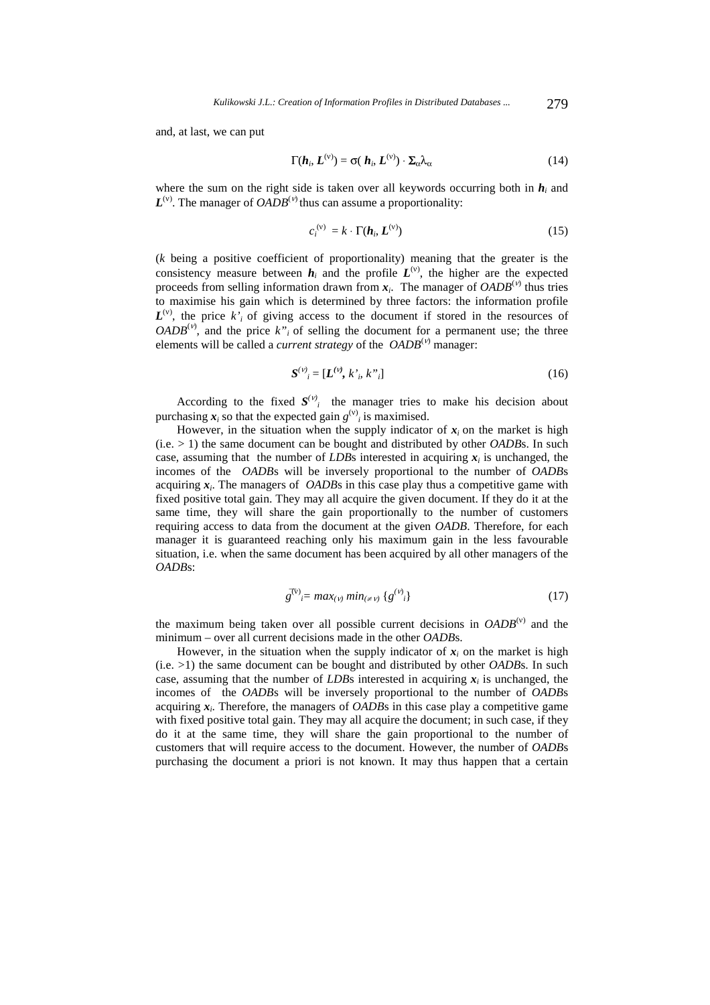and, at last, we can put

$$
\Gamma(\boldsymbol{h}_i, \boldsymbol{L}^{(v)}) = \sigma(\boldsymbol{h}_i, \boldsymbol{L}^{(v)}) \cdot \boldsymbol{\Sigma}_{\alpha} \lambda_{\alpha}
$$
 (14)

where the sum on the right side is taken over all keywords occurring both in  $h_i$  and  $L^{(v)}$ . The manager of *OADB*<sup>(*v*)</sup> thus can assume a proportionality:

$$
c_i^{(v)} = k \cdot \Gamma(\boldsymbol{h}_i, \boldsymbol{L}^{(v)})
$$
 (15)

(*k* being a positive coefficient of proportionality) meaning that the greater is the consistency measure between  $h_i$  and the profile  $L^{(v)}$ , the higher are the expected proceeds from selling information drawn from  $x_i$ . The manager of  $OADB^{(\nu)}$  thus tries to maximise his gain which is determined by three factors: the information profile  $L^{(v)}$ , the price  $k_i$  of giving access to the document if stored in the resources of  $OADB<sup>(v)</sup>$ , and the price  $k''_i$  of selling the document for a permanent use; the three elements will be called a *current strategy* of the *OADB*(ν) manager:

$$
S^{(\nu)}_{\ \ i} = [L^{(\nu)}, k^{\prime}, k^{\prime\prime}_{\ \ i}] \tag{16}
$$

According to the fixed  $S^{(v)}$  the manager tries to make his decision about purchasing  $x_i$  so that the expected gain  $g^{(v)}_i$  is maximised.

However, in the situation when the supply indicator of  $x_i$  on the market is high  $(i.e. > 1)$  the same document can be bought and distributed by other *OADBs*. In such case, assuming that the number of *LDB*s interested in acquiring  $x_i$  is unchanged, the incomes of the *OADB*s will be inversely proportional to the number of *OADB*s acquiring *xi*. The managers of *OADB*s in this case play thus a competitive game with fixed positive total gain. They may all acquire the given document. If they do it at the same time, they will share the gain proportionally to the number of customers requiring access to data from the document at the given *OADB*. Therefore, for each manager it is guaranteed reaching only his maximum gain in the less favourable situation, i.e. when the same document has been acquired by all other managers of the *OADB*s:

$$
g^{\bar{v}} = max_{(\nu)} min_{(\neq \nu)} \{g^{(\nu)}\}\tag{17}
$$

the maximum being taken over all possible current decisions in  $OADB^{(v)}$  and the minimum – over all current decisions made in the other *OADB*s.

However, in the situation when the supply indicator of  $x_i$  on the market is high (i.e. >1) the same document can be bought and distributed by other *OADB*s. In such case, assuming that the number of *LDB*s interested in acquiring  $x_i$  is unchanged, the incomes of the *OADB*s will be inversely proportional to the number of *OADB*s acquiring *xi*. Therefore, the managers of *OADB*s in this case play a competitive game with fixed positive total gain. They may all acquire the document; in such case, if they do it at the same time, they will share the gain proportional to the number of customers that will require access to the document. However, the number of *OADB*s purchasing the document a priori is not known. It may thus happen that a certain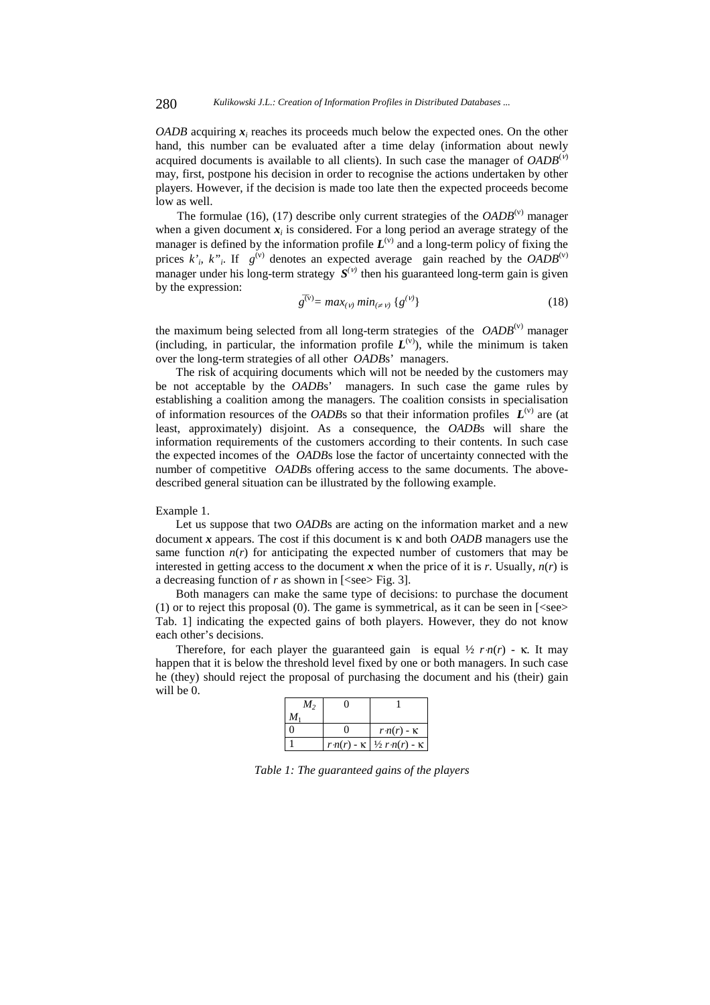*OADB* acquiring  $x_i$  reaches its proceeds much below the expected ones. On the other hand, this number can be evaluated after a time delay (information about newly acquired documents is available to all clients). In such case the manager of  $OADB^{(v)}$ may, first, postpone his decision in order to recognise the actions undertaken by other players. However, if the decision is made too late then the expected proceeds become low as well.

The formulae (16), (17) describe only current strategies of the  $OADB<sup>(v)</sup>$  manager when a given document  $x_i$  is considered. For a long period an average strategy of the manager is defined by the information profile  $L^{(v)}$  and a long-term policy of fixing the prices  $k_i$ ,  $k_i$ . If  $g^{(v)}$  denotes an expected average gain reached by the *OADB*<sup>(v)</sup> manager under his long-term strategy  $S^{(v)}$  then his guaranteed long-term gain is given by the expression:

$$
g^{\overline{(v)}} = \max_{(v)} \min_{(\neq v)} \{g^{(v)}\} \tag{18}
$$

the maximum being selected from all long-term strategies of the *OADB*(ν) manager (including, in particular, the information profile  $L^{(v)}$ ), while the minimum is taken over the long-term strategies of all other *OADB*s' managers.

The risk of acquiring documents which will not be needed by the customers may be not acceptable by the *OADB*s' managers. In such case the game rules by establishing a coalition among the managers. The coalition consists in specialisation of information resources of the *OADB*s so that their information profiles  $L^{(v)}$  are (at least, approximately) disjoint. As a consequence, the *OADB*s will share the information requirements of the customers according to their contents. In such case the expected incomes of the *OADB*s lose the factor of uncertainty connected with the number of competitive *OADB*s offering access to the same documents. The abovedescribed general situation can be illustrated by the following example.

#### Example 1.

Let us suppose that two *OADB*s are acting on the information market and a new document *x* appears. The cost if this document is κ and both *OADB* managers use the same function  $n(r)$  for anticipating the expected number of customers that may be interested in getting access to the document  $x$  when the price of it is  $r$ . Usually,  $n(r)$  is a decreasing function of  $r$  as shown in [<see>Fig. 3].

Both managers can make the same type of decisions: to purchase the document (1) or to reject this proposal (0). The game is symmetrical, as it can be seen in  $\leq$  see> Tab. 1] indicating the expected gains of both players. However, they do not know each other's decisions.

Therefore, for each player the guaranteed gain is equal  $\frac{1}{2}$   $\frac{r}{n(r)}$  - κ. It may happen that it is below the threshold level fixed by one or both managers. In such case he (they) should reject the proposal of purchasing the document and his (their) gain will be 0.

| М,    |                                                     |
|-------|-----------------------------------------------------|
| $M_1$ |                                                     |
|       | $r \cdot n(r)$ - K                                  |
|       | $r n(r)$ - $\kappa$ $\frac{1}{2} r n(r)$ - $\kappa$ |

*Table 1: The guaranteed gains of the players*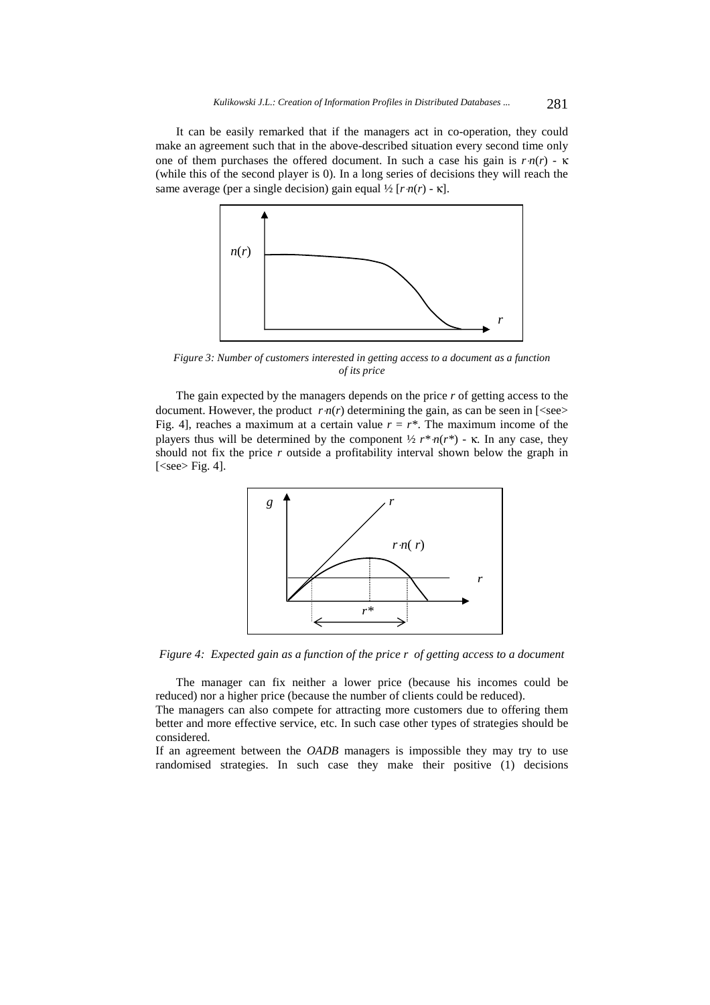It can be easily remarked that if the managers act in co-operation, they could make an agreement such that in the above-described situation every second time only one of them purchases the offered document. In such a case his gain is  $r \cdot n(r) - \kappa$ (while this of the second player is 0). In a long series of decisions they will reach the same average (per a single decision) gain equal ½ [*r*⋅*n*(*r*) - κ].



*Figure 3: Number of customers interested in getting access to a document as a function of its price* 

The gain expected by the managers depends on the price *r* of getting access to the document. However, the product  $r \cdot n(r)$  determining the gain, as can be seen in [<see> Fig. 4], reaches a maximum at a certain value  $r = r^*$ . The maximum income of the players thus will be determined by the component  $\frac{1}{2} r^* n(r^*)$  - κ. In any case, they should not fix the price *r* outside a profitability interval shown below the graph in [<see> Fig. 4].



*Figure 4: Expected gain as a function of the price r of getting access to a document*

The manager can fix neither a lower price (because his incomes could be reduced) nor a higher price (because the number of clients could be reduced).

The managers can also compete for attracting more customers due to offering them better and more effective service, etc. In such case other types of strategies should be considered.

If an agreement between the *OADB* managers is impossible they may try to use randomised strategies. In such case they make their positive (1) decisions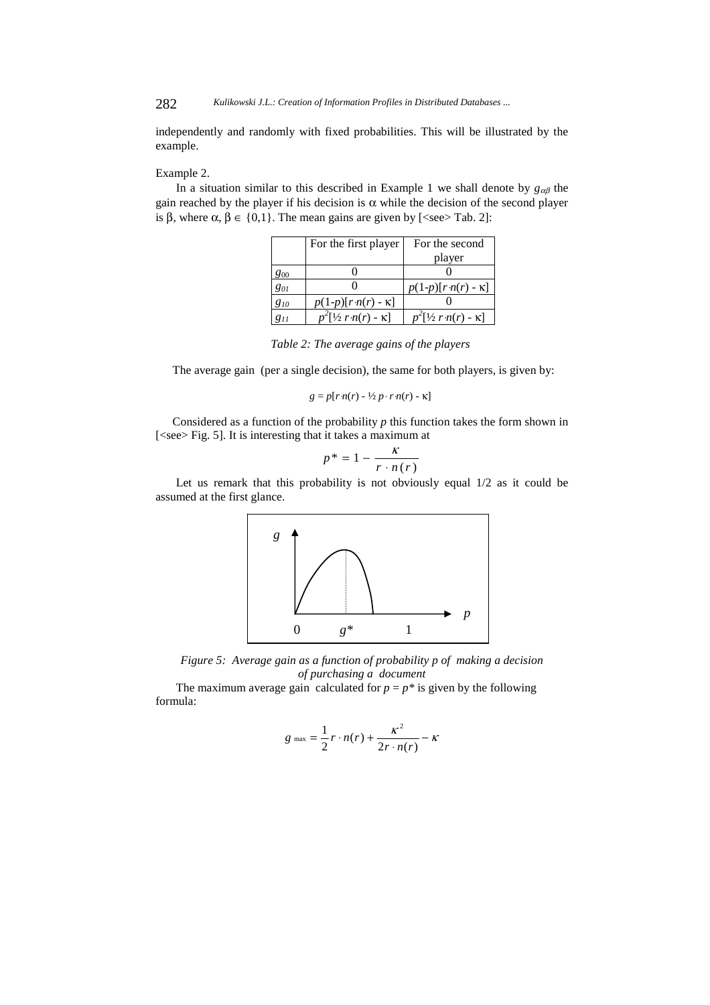independently and randomly with fixed probabilities. This will be illustrated by the example.

#### Example 2.

In a situation similar to this described in Example 1 we shall denote by  $g_{\alpha\beta}$  the gain reached by the player if his decision is  $\alpha$  while the decision of the second player is β, where  $\alpha$ ,  $\beta \in \{0,1\}$ . The mean gains are given by [<see> Tab. 2]:

|          | For the first player            | For the second                   |
|----------|---------------------------------|----------------------------------|
|          |                                 | player                           |
| 800      |                                 |                                  |
| 801      |                                 | $p(1-p)[r \cdot n(r) - \kappa]$  |
| 810      | $p(1-p)[r \cdot n(r) - \kappa]$ |                                  |
| $g_{11}$ | $p^2[$ ½ r·n(r) - $\kappa$ ]    | $p^2[1/2 r \cdot n(r) - \kappa]$ |

*Table 2: The average gains of the players* 

The average gain (per a single decision), the same for both players, is given by:

$$
g = p[r n(r) - \frac{1}{2} p \cdot r n(r) - \kappa]
$$

Considered as a function of the probability *p* this function takes the form shown in [<see> Fig. 5]. It is interesting that it takes a maximum at

$$
p^* = 1 - \frac{\kappa}{r \cdot n(r)}
$$

Let us remark that this probability is not obviously equal 1/2 as it could be assumed at the first glance.



*Figure 5: Average gain as a function of probability p of making a decision of purchasing a document* 

The maximum average gain calculated for  $p = p^*$  is given by the following formula:

$$
g_{\max} = \frac{1}{2}r \cdot n(r) + \frac{\kappa^2}{2r \cdot n(r)} - \kappa
$$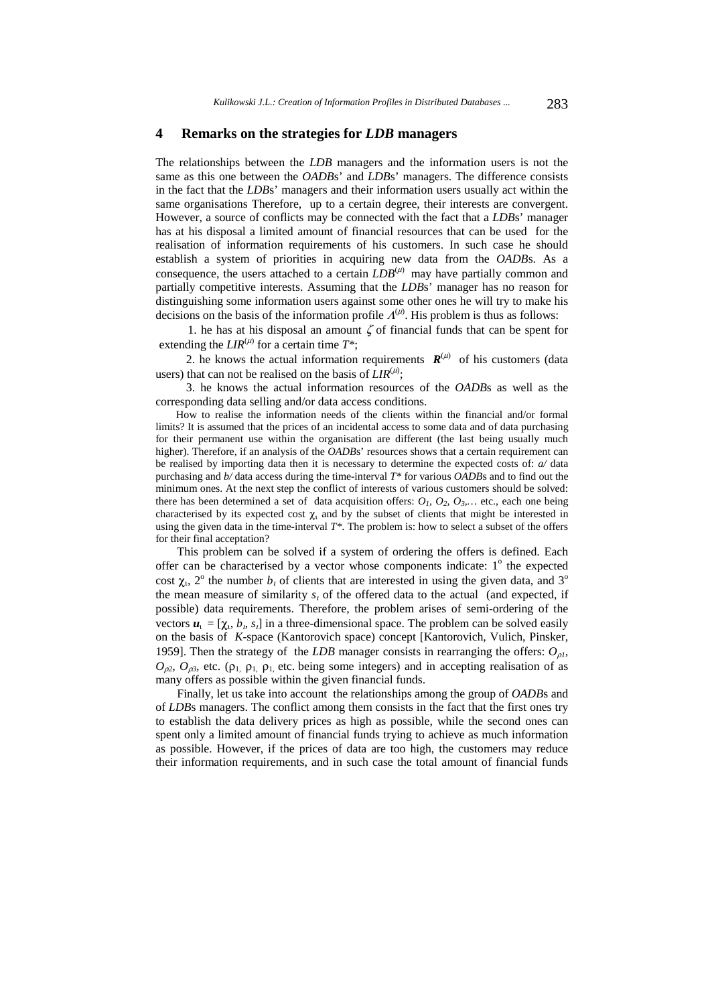### **4 Remarks on the strategies for** *LDB* **managers**

The relationships between the *LDB* managers and the information users is not the same as this one between the *OADB*s' and *LDB*s' managers. The difference consists in the fact that the *LDB*s' managers and their information users usually act within the same organisations Therefore, up to a certain degree, their interests are convergent. However, a source of conflicts may be connected with the fact that a *LDB*s' manager has at his disposal a limited amount of financial resources that can be used for the realisation of information requirements of his customers. In such case he should establish a system of priorities in acquiring new data from the *OADB*s. As a consequence, the users attached to a certain  $LDB^{(\mu)}$  may have partially common and partially competitive interests. Assuming that the *LDB*s' manager has no reason for distinguishing some information users against some other ones he will try to make his decisions on the basis of the information profile  $\Lambda^{(\mu)}$ . His problem is thus as follows:

1. he has at his disposal an amount  $\zeta$  of financial funds that can be spent for extending the  $LIR^{(\mu)}$  for a certain time  $T^*$ ;

2. he knows the actual information requirements  $R^{(\mu)}$  of his customers (data users) that can not be realised on the basis of  $LIR^{(\mu)}$ ;

 3. he knows the actual information resources of the *OADB*s as well as the corresponding data selling and/or data access conditions.

How to realise the information needs of the clients within the financial and/or formal limits? It is assumed that the prices of an incidental access to some data and of data purchasing for their permanent use within the organisation are different (the last being usually much higher). Therefore, if an analysis of the *OADBs*' resources shows that a certain requirement can be realised by importing data then it is necessary to determine the expected costs of: *a/* data purchasing and *b/* data access during the time-interval *T\** for various *OADB*s and to find out the minimum ones. At the next step the conflict of interests of various customers should be solved: there has been determined a set of data acquisition offers:  $O_1$ ,  $O_2$ ,  $O_3$ ,... etc., each one being characterised by its expected cost  $\chi$ <sub>1</sub> and by the subset of clients that might be interested in using the given data in the time-interval  $T^*$ . The problem is: how to select a subset of the offers for their final acceptation?

This problem can be solved if a system of ordering the offers is defined. Each offer can be characterised by a vector whose components indicate:  $1^\circ$  the expected cost  $\chi$ <sub>1</sub>, 2<sup>o</sup> the number  $b<sub>t</sub>$  of clients that are interested in using the given data, and 3<sup>o</sup> the mean measure of similarity *s*<sup>ι</sup> of the offered data to the actual (and expected, if possible) data requirements. Therefore, the problem arises of semi-ordering of the vectors  $u_1 = [\chi_1, b_1, s_1]$  in a three-dimensional space. The problem can be solved easily on the basis of *K*-space (Kantorovich space) concept [Kantorovich, Vulich, Pinsker, 1959]. Then the strategy of the *LDB* manager consists in rearranging the offers: *O*ρ*1,*   $O_{\rho^2}$ ,  $O_{\rho^3}$ , etc. (ρ<sub>1,</sub> ρ<sub>1</sub>, etc. being some integers) and in accepting realisation of as many offers as possible within the given financial funds.

Finally, let us take into account the relationships among the group of *OADB*s and of *LDB*s managers. The conflict among them consists in the fact that the first ones try to establish the data delivery prices as high as possible, while the second ones can spent only a limited amount of financial funds trying to achieve as much information as possible. However, if the prices of data are too high, the customers may reduce their information requirements, and in such case the total amount of financial funds